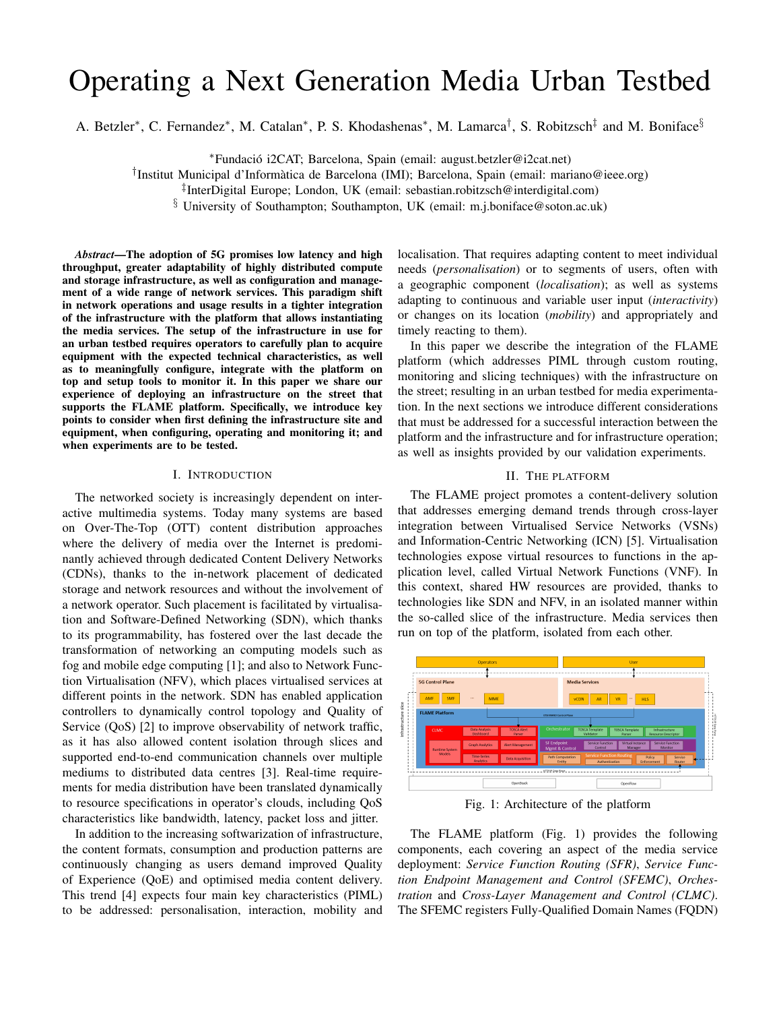# Operating a Next Generation Media Urban Testbed

A. Betzler<sup>\*</sup>, C. Fernandez<sup>\*</sup>, M. Catalan<sup>\*</sup>, P. S. Khodashenas<sup>\*</sup>, M. Lamarca<sup>†</sup>, S. Robitzsch<sup>‡</sup> and M. Boniface<sup>§</sup>

<sup>∗</sup>Fundacio i2CAT; Barcelona, Spain (email: august.betzler@i2cat.net) ´

† Institut Municipal d'Informatica de Barcelona (IMI); Barcelona, Spain (email: mariano@ieee.org) `

§ University of Southampton; Southampton, UK (email: m.j.boniface@soton.ac.uk)

*Abstract*—The adoption of 5G promises low latency and high throughput, greater adaptability of highly distributed compute and storage infrastructure, as well as configuration and management of a wide range of network services. This paradigm shift in network operations and usage results in a tighter integration of the infrastructure with the platform that allows instantiating the media services. The setup of the infrastructure in use for an urban testbed requires operators to carefully plan to acquire equipment with the expected technical characteristics, as well as to meaningfully configure, integrate with the platform on top and setup tools to monitor it. In this paper we share our experience of deploying an infrastructure on the street that supports the FLAME platform. Specifically, we introduce key points to consider when first defining the infrastructure site and equipment, when configuring, operating and monitoring it; and when experiments are to be tested.

#### I. INTRODUCTION

The networked society is increasingly dependent on interactive multimedia systems. Today many systems are based on Over-The-Top (OTT) content distribution approaches where the delivery of media over the Internet is predominantly achieved through dedicated Content Delivery Networks (CDNs), thanks to the in-network placement of dedicated storage and network resources and without the involvement of a network operator. Such placement is facilitated by virtualisation and Software-Defined Networking (SDN), which thanks to its programmability, has fostered over the last decade the transformation of networking an computing models such as fog and mobile edge computing [1]; and also to Network Function Virtualisation (NFV), which places virtualised services at different points in the network. SDN has enabled application controllers to dynamically control topology and Quality of Service (QoS) [2] to improve observability of network traffic, as it has also allowed content isolation through slices and supported end-to-end communication channels over multiple mediums to distributed data centres [3]. Real-time requirements for media distribution have been translated dynamically to resource specifications in operator's clouds, including QoS characteristics like bandwidth, latency, packet loss and jitter.

In addition to the increasing softwarization of infrastructure, the content formats, consumption and production patterns are continuously changing as users demand improved Quality of Experience (QoE) and optimised media content delivery. This trend [4] expects four main key characteristics (PIML) to be addressed: personalisation, interaction, mobility and localisation. That requires adapting content to meet individual needs (*personalisation*) or to segments of users, often with a geographic component (*localisation*); as well as systems adapting to continuous and variable user input (*interactivity*) or changes on its location (*mobility*) and appropriately and timely reacting to them).

In this paper we describe the integration of the FLAME platform (which addresses PIML through custom routing, monitoring and slicing techniques) with the infrastructure on the street; resulting in an urban testbed for media experimentation. In the next sections we introduce different considerations that must be addressed for a successful interaction between the platform and the infrastructure and for infrastructure operation; as well as insights provided by our validation experiments.

#### II. THE PLATFORM

The FLAME project promotes a content-delivery solution that addresses emerging demand trends through cross-layer integration between Virtualised Service Networks (VSNs) and Information-Centric Networking (ICN) [5]. Virtualisation technologies expose virtual resources to functions in the application level, called Virtual Network Functions (VNF). In this context, shared HW resources are provided, thanks to technologies like SDN and NFV, in an isolated manner within the so-called slice of the infrastructure. Media services then run on top of the platform, isolated from each other.



Fig. 1: Architecture of the platform

The FLAME platform (Fig. 1) provides the following components, each covering an aspect of the media service deployment: *Service Function Routing (SFR)*, *Service Function Endpoint Management and Control (SFEMC)*, *Orchestration* and *Cross-Layer Management and Control (CLMC)*. The SFEMC registers Fully-Qualified Domain Names (FQDN)

<sup>‡</sup> InterDigital Europe; London, UK (email: sebastian.robitzsch@interdigital.com)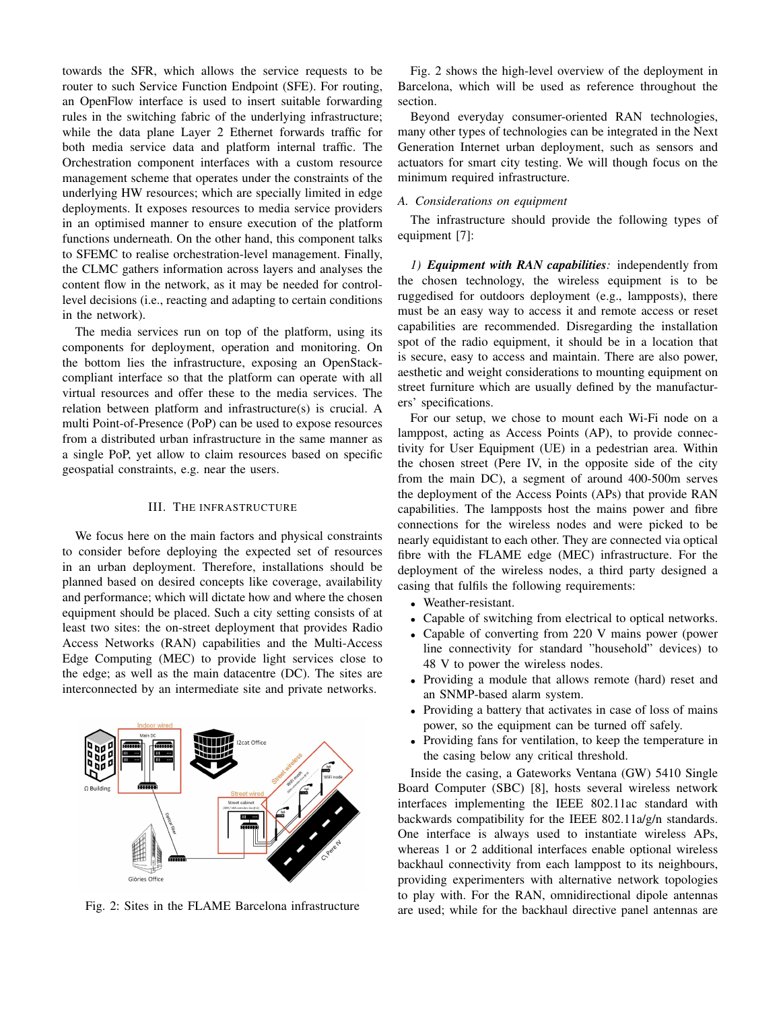towards the SFR, which allows the service requests to be router to such Service Function Endpoint (SFE). For routing, an OpenFlow interface is used to insert suitable forwarding rules in the switching fabric of the underlying infrastructure; while the data plane Layer 2 Ethernet forwards traffic for both media service data and platform internal traffic. The Orchestration component interfaces with a custom resource management scheme that operates under the constraints of the underlying HW resources; which are specially limited in edge deployments. It exposes resources to media service providers in an optimised manner to ensure execution of the platform functions underneath. On the other hand, this component talks to SFEMC to realise orchestration-level management. Finally, the CLMC gathers information across layers and analyses the content flow in the network, as it may be needed for controllevel decisions (i.e., reacting and adapting to certain conditions in the network).

The media services run on top of the platform, using its components for deployment, operation and monitoring. On the bottom lies the infrastructure, exposing an OpenStackcompliant interface so that the platform can operate with all virtual resources and offer these to the media services. The relation between platform and infrastructure(s) is crucial. A multi Point-of-Presence (PoP) can be used to expose resources from a distributed urban infrastructure in the same manner as a single PoP, yet allow to claim resources based on specific geospatial constraints, e.g. near the users.

#### III. THE INFRASTRUCTURE

We focus here on the main factors and physical constraints to consider before deploying the expected set of resources in an urban deployment. Therefore, installations should be planned based on desired concepts like coverage, availability and performance; which will dictate how and where the chosen equipment should be placed. Such a city setting consists of at least two sites: the on-street deployment that provides Radio Access Networks (RAN) capabilities and the Multi-Access Edge Computing (MEC) to provide light services close to the edge; as well as the main datacentre (DC). The sites are interconnected by an intermediate site and private networks.

Fig. 2: Sites in the FLAME Barcelona infrastructure

Fig. 2 shows the high-level overview of the deployment in Barcelona, which will be used as reference throughout the section.

Beyond everyday consumer-oriented RAN technologies, many other types of technologies can be integrated in the Next Generation Internet urban deployment, such as sensors and actuators for smart city testing. We will though focus on the minimum required infrastructure.

#### *A. Considerations on equipment*

The infrastructure should provide the following types of equipment [7]:

*1) Equipment with RAN capabilities:* independently from the chosen technology, the wireless equipment is to be ruggedised for outdoors deployment (e.g., lampposts), there must be an easy way to access it and remote access or reset capabilities are recommended. Disregarding the installation spot of the radio equipment, it should be in a location that is secure, easy to access and maintain. There are also power, aesthetic and weight considerations to mounting equipment on street furniture which are usually defined by the manufacturers' specifications.

For our setup, we chose to mount each Wi-Fi node on a lamppost, acting as Access Points (AP), to provide connectivity for User Equipment (UE) in a pedestrian area. Within the chosen street (Pere IV, in the opposite side of the city from the main DC), a segment of around 400-500m serves the deployment of the Access Points (APs) that provide RAN capabilities. The lampposts host the mains power and fibre connections for the wireless nodes and were picked to be nearly equidistant to each other. They are connected via optical fibre with the FLAME edge (MEC) infrastructure. For the deployment of the wireless nodes, a third party designed a casing that fulfils the following requirements:

- Weather-resistant.
- Capable of switching from electrical to optical networks.
- Capable of converting from 220 V mains power (power line connectivity for standard "household" devices) to 48 V to power the wireless nodes.
- Providing a module that allows remote (hard) reset and an SNMP-based alarm system.
- Providing a battery that activates in case of loss of mains power, so the equipment can be turned off safely.
- Providing fans for ventilation, to keep the temperature in the casing below any critical threshold.

Inside the casing, a Gateworks Ventana (GW) 5410 Single Board Computer (SBC) [8], hosts several wireless network interfaces implementing the IEEE 802.11ac standard with backwards compatibility for the IEEE 802.11a/g/n standards. One interface is always used to instantiate wireless APs, whereas 1 or 2 additional interfaces enable optional wireless backhaul connectivity from each lamppost to its neighbours, providing experimenters with alternative network topologies to play with. For the RAN, omnidirectional dipole antennas are used; while for the backhaul directive panel antennas are

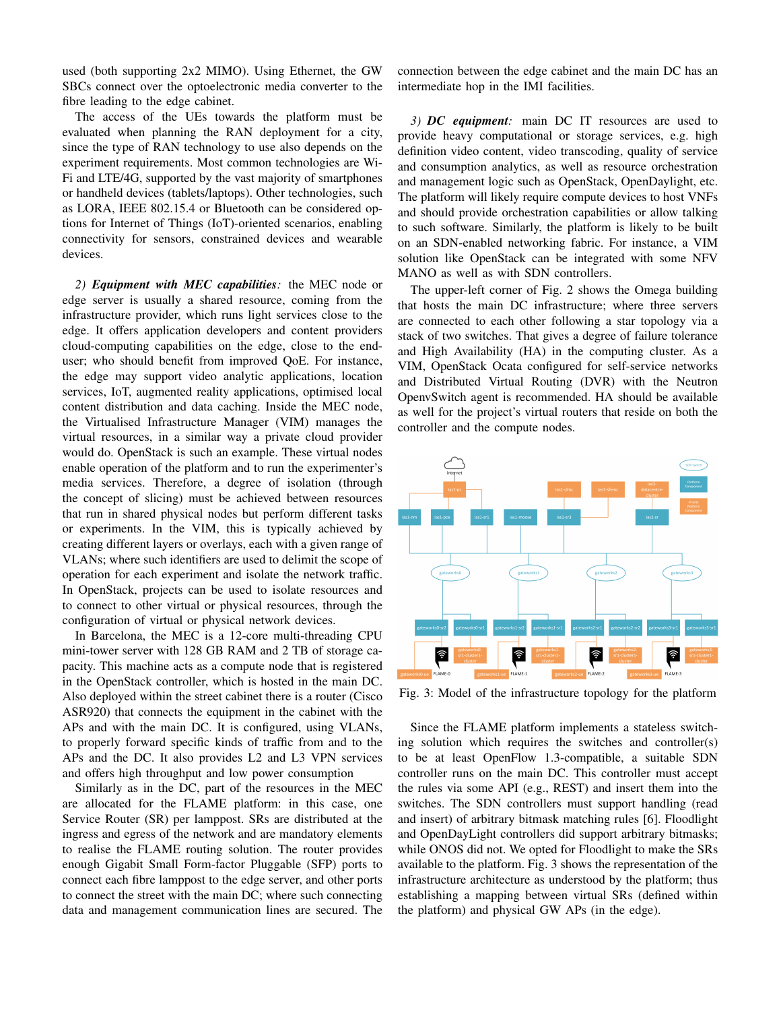used (both supporting 2x2 MIMO). Using Ethernet, the GW SBCs connect over the optoelectronic media converter to the fibre leading to the edge cabinet.

The access of the UEs towards the platform must be evaluated when planning the RAN deployment for a city, since the type of RAN technology to use also depends on the experiment requirements. Most common technologies are Wi-Fi and LTE/4G, supported by the vast majority of smartphones or handheld devices (tablets/laptops). Other technologies, such as LORA, IEEE 802.15.4 or Bluetooth can be considered options for Internet of Things (IoT)-oriented scenarios, enabling connectivity for sensors, constrained devices and wearable devices.

*2) Equipment with MEC capabilities:* the MEC node or edge server is usually a shared resource, coming from the infrastructure provider, which runs light services close to the edge. It offers application developers and content providers cloud-computing capabilities on the edge, close to the enduser; who should benefit from improved QoE. For instance, the edge may support video analytic applications, location services, IoT, augmented reality applications, optimised local content distribution and data caching. Inside the MEC node, the Virtualised Infrastructure Manager (VIM) manages the virtual resources, in a similar way a private cloud provider would do. OpenStack is such an example. These virtual nodes enable operation of the platform and to run the experimenter's media services. Therefore, a degree of isolation (through the concept of slicing) must be achieved between resources that run in shared physical nodes but perform different tasks or experiments. In the VIM, this is typically achieved by creating different layers or overlays, each with a given range of VLANs; where such identifiers are used to delimit the scope of operation for each experiment and isolate the network traffic. In OpenStack, projects can be used to isolate resources and to connect to other virtual or physical resources, through the configuration of virtual or physical network devices.

In Barcelona, the MEC is a 12-core multi-threading CPU mini-tower server with 128 GB RAM and 2 TB of storage capacity. This machine acts as a compute node that is registered in the OpenStack controller, which is hosted in the main DC. Also deployed within the street cabinet there is a router (Cisco ASR920) that connects the equipment in the cabinet with the APs and with the main DC. It is configured, using VLANs, to properly forward specific kinds of traffic from and to the APs and the DC. It also provides L2 and L3 VPN services and offers high throughput and low power consumption

Similarly as in the DC, part of the resources in the MEC are allocated for the FLAME platform: in this case, one Service Router (SR) per lamppost. SRs are distributed at the ingress and egress of the network and are mandatory elements to realise the FLAME routing solution. The router provides enough Gigabit Small Form-factor Pluggable (SFP) ports to connect each fibre lamppost to the edge server, and other ports to connect the street with the main DC; where such connecting data and management communication lines are secured. The connection between the edge cabinet and the main DC has an intermediate hop in the IMI facilities.

*3) DC equipment:* main DC IT resources are used to provide heavy computational or storage services, e.g. high definition video content, video transcoding, quality of service and consumption analytics, as well as resource orchestration and management logic such as OpenStack, OpenDaylight, etc. The platform will likely require compute devices to host VNFs and should provide orchestration capabilities or allow talking to such software. Similarly, the platform is likely to be built on an SDN-enabled networking fabric. For instance, a VIM solution like OpenStack can be integrated with some NFV MANO as well as with SDN controllers.

The upper-left corner of Fig. 2 shows the Omega building that hosts the main DC infrastructure; where three servers are connected to each other following a star topology via a stack of two switches. That gives a degree of failure tolerance and High Availability (HA) in the computing cluster. As a VIM, OpenStack Ocata configured for self-service networks and Distributed Virtual Routing (DVR) with the Neutron OpenvSwitch agent is recommended. HA should be available as well for the project's virtual routers that reside on both the controller and the compute nodes.



Fig. 3: Model of the infrastructure topology for the platform

Since the FLAME platform implements a stateless switching solution which requires the switches and controller(s) to be at least OpenFlow 1.3-compatible, a suitable SDN controller runs on the main DC. This controller must accept the rules via some API (e.g., REST) and insert them into the switches. The SDN controllers must support handling (read and insert) of arbitrary bitmask matching rules [6]. Floodlight and OpenDayLight controllers did support arbitrary bitmasks; while ONOS did not. We opted for Floodlight to make the SRs available to the platform. Fig. 3 shows the representation of the infrastructure architecture as understood by the platform; thus establishing a mapping between virtual SRs (defined within the platform) and physical GW APs (in the edge).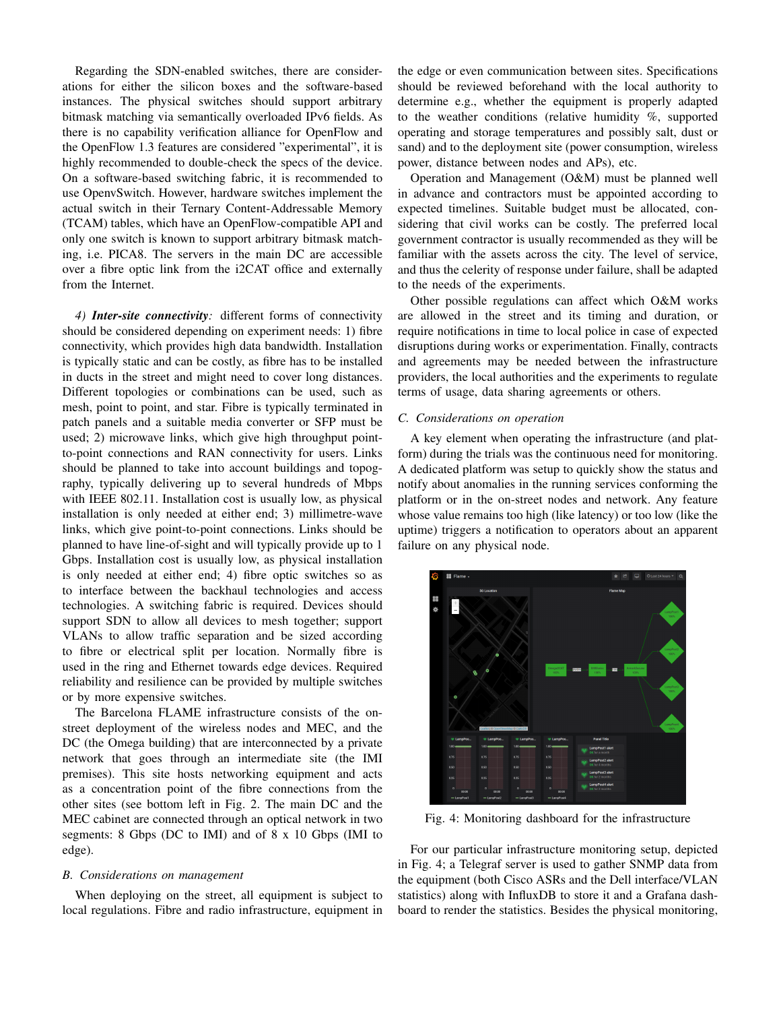Regarding the SDN-enabled switches, there are considerations for either the silicon boxes and the software-based instances. The physical switches should support arbitrary bitmask matching via semantically overloaded IPv6 fields. As there is no capability verification alliance for OpenFlow and the OpenFlow 1.3 features are considered "experimental", it is highly recommended to double-check the specs of the device. On a software-based switching fabric, it is recommended to use OpenvSwitch. However, hardware switches implement the actual switch in their Ternary Content-Addressable Memory (TCAM) tables, which have an OpenFlow-compatible API and only one switch is known to support arbitrary bitmask matching, i.e. PICA8. The servers in the main DC are accessible over a fibre optic link from the i2CAT office and externally from the Internet.

*4) Inter-site connectivity:* different forms of connectivity should be considered depending on experiment needs: 1) fibre connectivity, which provides high data bandwidth. Installation is typically static and can be costly, as fibre has to be installed in ducts in the street and might need to cover long distances. Different topologies or combinations can be used, such as mesh, point to point, and star. Fibre is typically terminated in patch panels and a suitable media converter or SFP must be used; 2) microwave links, which give high throughput pointto-point connections and RAN connectivity for users. Links should be planned to take into account buildings and topography, typically delivering up to several hundreds of Mbps with IEEE 802.11. Installation cost is usually low, as physical installation is only needed at either end; 3) millimetre-wave links, which give point-to-point connections. Links should be planned to have line-of-sight and will typically provide up to 1 Gbps. Installation cost is usually low, as physical installation is only needed at either end; 4) fibre optic switches so as to interface between the backhaul technologies and access technologies. A switching fabric is required. Devices should support SDN to allow all devices to mesh together; support VLANs to allow traffic separation and be sized according to fibre or electrical split per location. Normally fibre is used in the ring and Ethernet towards edge devices. Required reliability and resilience can be provided by multiple switches or by more expensive switches.

The Barcelona FLAME infrastructure consists of the onstreet deployment of the wireless nodes and MEC, and the DC (the Omega building) that are interconnected by a private network that goes through an intermediate site (the IMI premises). This site hosts networking equipment and acts as a concentration point of the fibre connections from the other sites (see bottom left in Fig. 2. The main DC and the MEC cabinet are connected through an optical network in two segments: 8 Gbps (DC to IMI) and of 8 x 10 Gbps (IMI to edge).

## *B. Considerations on management*

When deploying on the street, all equipment is subject to local regulations. Fibre and radio infrastructure, equipment in the edge or even communication between sites. Specifications should be reviewed beforehand with the local authority to determine e.g., whether the equipment is properly adapted to the weather conditions (relative humidity %, supported operating and storage temperatures and possibly salt, dust or sand) and to the deployment site (power consumption, wireless power, distance between nodes and APs), etc.

Operation and Management (O&M) must be planned well in advance and contractors must be appointed according to expected timelines. Suitable budget must be allocated, considering that civil works can be costly. The preferred local government contractor is usually recommended as they will be familiar with the assets across the city. The level of service, and thus the celerity of response under failure, shall be adapted to the needs of the experiments.

Other possible regulations can affect which O&M works are allowed in the street and its timing and duration, or require notifications in time to local police in case of expected disruptions during works or experimentation. Finally, contracts and agreements may be needed between the infrastructure providers, the local authorities and the experiments to regulate terms of usage, data sharing agreements or others.

# *C. Considerations on operation*

A key element when operating the infrastructure (and platform) during the trials was the continuous need for monitoring. A dedicated platform was setup to quickly show the status and notify about anomalies in the running services conforming the platform or in the on-street nodes and network. Any feature whose value remains too high (like latency) or too low (like the uptime) triggers a notification to operators about an apparent failure on any physical node.



Fig. 4: Monitoring dashboard for the infrastructure

For our particular infrastructure monitoring setup, depicted in Fig. 4; a Telegraf server is used to gather SNMP data from the equipment (both Cisco ASRs and the Dell interface/VLAN statistics) along with InfluxDB to store it and a Grafana dashboard to render the statistics. Besides the physical monitoring,